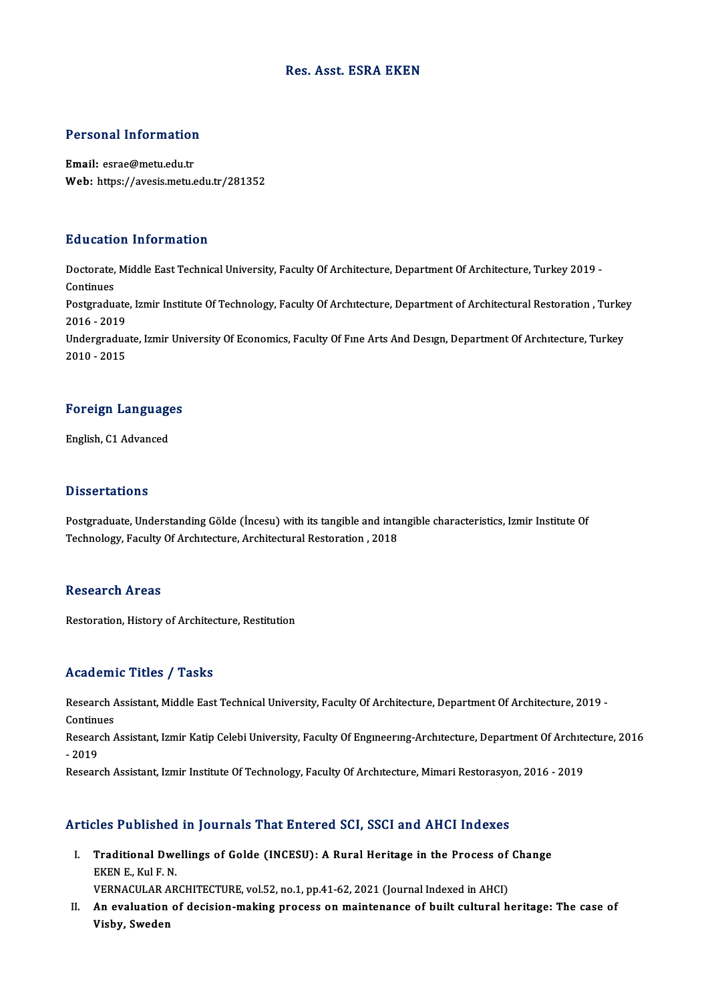#### Res. Asst. ESRA EKEN

# Personal Information

Personal Information<br>Email: esrae@metu.edu.tr<br>Web: https://avesis.metu.e Email: esrae@metu.edu.tr<br>Web: https://avesis.metu.edu.tr/281352

#### Education Information

**Education Information**<br>Doctorate, Middle East Technical University, Faculty Of Architecture, Department Of Architecture, Turkey 2019 -<br>Continues Doctorate,<br>Continues<br>Postaredus Doctorate, Middle East Technical University, Faculty Of Architecture, Department Of Architecture, Turkey 2019 -<br>Continues<br>Postgraduate, Izmir Institute Of Technology, Faculty Of Architecture, Department of Architectural Re Continues<br>Postgraduate<br>2016 - 2019<br>Undergradue Postgraduate, Izmir Institute Of Technology, Faculty Of Architecture, Department of Architectural Restoration , Turke<br>2016 - 2019<br>Undergraduate, Izmir University Of Economics, Faculty Of Fine Arts And Design, Department Of 2016 - 2019<br>Undergraduate, Izmir University Of Economics, Faculty Of Fine Arts And Design, Department Of Architecture, Turkey<br>2010 - 2015

## <sub>2010</sub> - <sub>2015</sub><br>Foreign Languages F<mark>oreign Languag</mark>e<br>English, C1 Advanced

English, C1 Advanced<br>Dissertations

Postgraduate, Understanding Gölde (İncesu) with its tangible and intangible characteristics, Izmir Institute Of Technology, Faculty Of Architecture, Architectural Restoration, 2018

#### **Research Areas**

Restoration, History of Architecture, Restitution

#### Academic Titles / Tasks

Academic Titles / Tasks<br>Research Assistant, Middle East Technical University, Faculty Of Architecture, Department Of Architecture, 2019 -<br>Continues Research A<br>Continues<br>Pesearch A Research Assistant, Middle East Technical University, Faculty Of Architecture, Department Of Architecture, 2019<br>Continues<br>Research Assistant, Izmir Katip Celebi University, Faculty Of Engineering-Architecture, Department O

Continu<br>Researe<br>- 2019<br>Beseare

- 2019<br>Research Assistant, Izmir Institute Of Technology, Faculty Of Archıtecture, Mimari Restorasyon, 2016 - 2019

# Research Assistant, izmir institute of Technology, Pactity of Architecture, Mimari Restorasyon<br>Articles Published in Journals That Entered SCI, SSCI and AHCI Indexes

rticles Published in Journals That Entered SCI, SSCI and AHCI Indexes<br>I. Traditional Dwellings of Golde (INCESU): A Rural Heritage in the Process of Change<br>ERRN E. Kul E N The Protection<br>Traditional Dwe<br>EKEN E., Kul F. N.<br>VERNACULAR AR Traditional Dwellings of Golde (INCESU): A Rural Heritage in the Process of<br>EKEN E., Kul F. N.<br>VERNACULAR ARCHITECTURE, vol.52, no.1, pp.41-62, 2021 (Journal Indexed in AHCI)<br>An evoluction of decision making process on mai

VERNACULAR ARCHITECTURE, vol.52, no.1, pp.41-62, 2021 (Journal Indexed in AHCI)

EKEN E., Kul F. N.<br>VERNACULAR ARCHITECTURE, vol.52, no.1, pp.41-62, 2021 (Journal Indexed in AHCI)<br>II. An evaluation of decision-making process on maintenance of built cultural heritage: The case of<br>Visby, Sweden